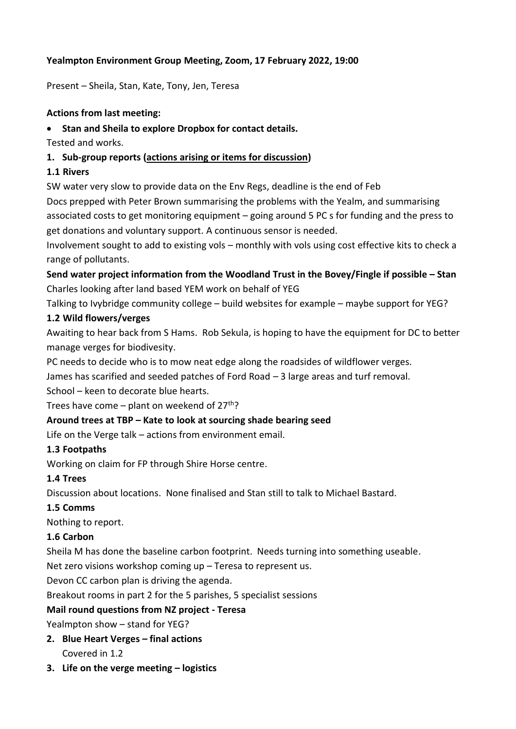## **Yealmpton Environment Group Meeting, Zoom, 17 February 2022, 19:00**

Present – Sheila, Stan, Kate, Tony, Jen, Teresa

#### **Actions from last meeting:**

#### • **Stan and Sheila to explore Dropbox for contact details.**

Tested and works.

### **1. Sub-group reports (actions arising or items for discussion)**

#### **1.1 Rivers**

SW water very slow to provide data on the Env Regs, deadline is the end of Feb

Docs prepped with Peter Brown summarising the problems with the Yealm, and summarising associated costs to get monitoring equipment – going around 5 PC s for funding and the press to get donations and voluntary support. A continuous sensor is needed.

Involvement sought to add to existing vols – monthly with vols using cost effective kits to check a range of pollutants.

**Send water project information from the Woodland Trust in the Bovey/Fingle if possible – Stan** Charles looking after land based YEM work on behalf of YEG

Talking to Ivybridge community college – build websites for example – maybe support for YEG?

#### **1.2 Wild flowers/verges**

Awaiting to hear back from S Hams. Rob Sekula, is hoping to have the equipment for DC to better manage verges for biodivesity.

PC needs to decide who is to mow neat edge along the roadsides of wildflower verges.

James has scarified and seeded patches of Ford Road – 3 large areas and turf removal.

School – keen to decorate blue hearts.

Trees have come – plant on weekend of  $27<sup>th</sup>$ ?

#### **Around trees at TBP – Kate to look at sourcing shade bearing seed**

Life on the Verge talk – actions from environment email.

#### **1.3 Footpaths**

Working on claim for FP through Shire Horse centre.

#### **1.4 Trees**

Discussion about locations. None finalised and Stan still to talk to Michael Bastard.

#### **1.5 Comms**

Nothing to report.

#### **1.6 Carbon**

Sheila M has done the baseline carbon footprint. Needs turning into something useable.

Net zero visions workshop coming up – Teresa to represent us.

Devon CC carbon plan is driving the agenda.

Breakout rooms in part 2 for the 5 parishes, 5 specialist sessions

#### **Mail round questions from NZ project - Teresa**

Yealmpton show – stand for YEG?

- **2. Blue Heart Verges – final actions** Covered in 1.2
- **3. Life on the verge meeting – logistics**